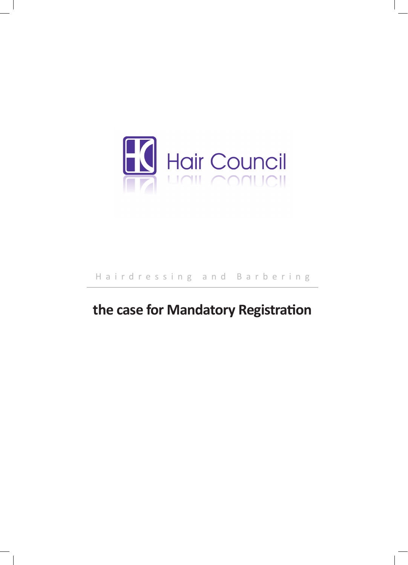

# Hairdressing and Barbering

# **the case for Mandatory Registration**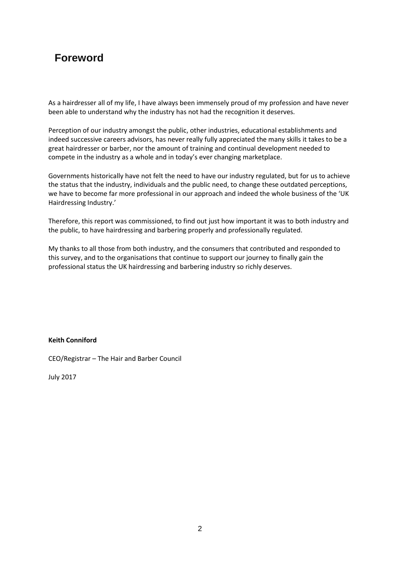# **Foreword**

As a hairdresser all of my life, I have always been immensely proud of my profession and have never been able to understand why the industry has not had the recognition it deserves.

Perception of our industry amongst the public, other industries, educational establishments and indeed successive careers advisors, has never really fully appreciated the many skills it takes to be a great hairdresser or barber, nor the amount of training and continual development needed to compete in the industry as a whole and in today's ever changing marketplace.

Governments historically have not felt the need to have our industry regulated, but for us to achieve the status that the industry, individuals and the public need, to change these outdated perceptions, we have to become far more professional in our approach and indeed the whole business of the 'UK Hairdressing Industry.'

Therefore, this report was commissioned, to find out just how important it was to both industry and the public, to have hairdressing and barbering properly and professionally regulated.

My thanks to all those from both industry, and the consumers that contributed and responded to this survey, and to the organisations that continue to support our journey to finally gain the professional status the UK hairdressing and barbering industry so richly deserves.

#### **Keith Conniford**

CEO/Registrar – The Hair and Barber Council

July 2017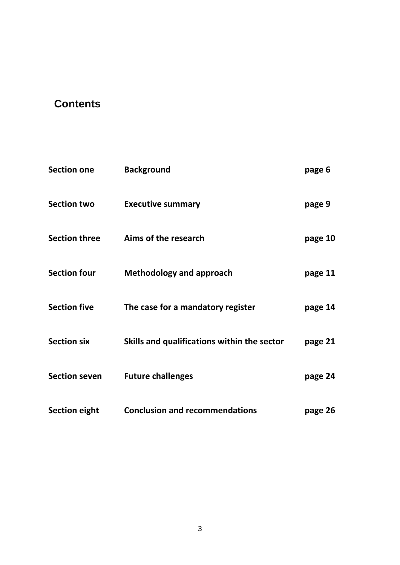# **Contents**

| <b>Section one</b>   | <b>Background</b>                           | page 6  |
|----------------------|---------------------------------------------|---------|
| <b>Section two</b>   | <b>Executive summary</b>                    | page 9  |
| <b>Section three</b> | Aims of the research                        | page 10 |
| <b>Section four</b>  | <b>Methodology and approach</b>             | page 11 |
| <b>Section five</b>  | The case for a mandatory register           | page 14 |
| <b>Section six</b>   | Skills and qualifications within the sector | page 21 |
| <b>Section seven</b> | <b>Future challenges</b>                    | page 24 |
| <b>Section eight</b> | <b>Conclusion and recommendations</b>       | page 26 |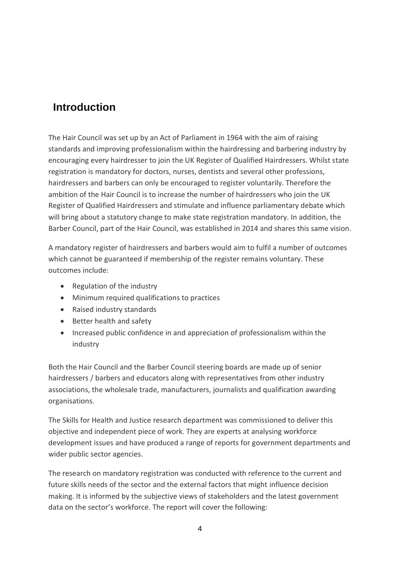# **Introduction**

The Hair Council was set up by an Act of Parliament in 1964 with the aim of raising standards and improving professionalism within the hairdressing and barbering industry by encouraging every hairdresser to join the UK Register of Qualified Hairdressers. Whilst state registration is mandatory for doctors, nurses, dentists and several other professions, hairdressers and barbers can only be encouraged to register voluntarily. Therefore the ambition of the Hair Council is to increase the number of hairdressers who join the UK Register of Qualified Hairdressers and stimulate and influence parliamentary debate which will bring about a statutory change to make state registration mandatory. In addition, the Barber Council, part of the Hair Council, was established in 2014 and shares this same vision.

A mandatory register of hairdressers and barbers would aim to fulfil a number of outcomes which cannot be guaranteed if membership of the register remains voluntary. These outcomes include:

- Regulation of the industry
- Minimum required qualifications to practices
- Raised industry standards
- Better health and safety
- Increased public confidence in and appreciation of professionalism within the industry

Both the Hair Council and the Barber Council steering boards are made up of senior hairdressers / barbers and educators along with representatives from other industry associations, the wholesale trade, manufacturers, journalists and qualification awarding organisations.

The Skills for Health and Justice research department was commissioned to deliver this objective and independent piece of work. They are experts at analysing workforce development issues and have produced a range of reports for government departments and wider public sector agencies.

The research on mandatory registration was conducted with reference to the current and future skills needs of the sector and the external factors that might influence decision making. It is informed by the subjective views of stakeholders and the latest government data on the sector's workforce. The report will cover the following: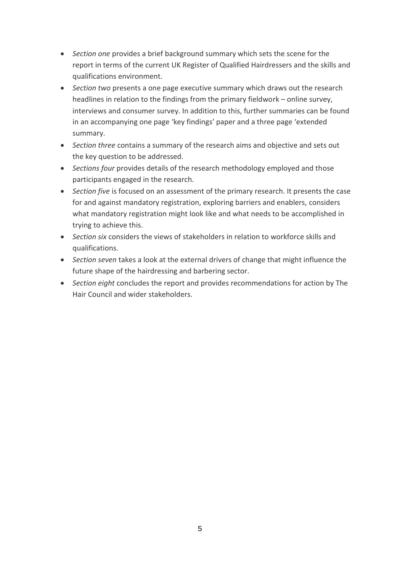- *Section one* provides a brief background summary which sets the scene for the report in terms of the current UK Register of Qualified Hairdressers and the skills and qualifications environment.
- *Section two* presents a one page executive summary which draws out the research headlines in relation to the findings from the primary fieldwork – online survey, interviews and consumer survey. In addition to this, further summaries can be found in an accompanying one page 'key findings' paper and a three page 'extended summary.
- *Section three* contains a summary of the research aims and objective and sets out the key question to be addressed.
- *Sections four* provides details of the research methodology employed and those participants engaged in the research.
- *Section five* is focused on an assessment of the primary research. It presents the case for and against mandatory registration, exploring barriers and enablers, considers what mandatory registration might look like and what needs to be accomplished in trying to achieve this.
- *Section six* considers the views of stakeholders in relation to workforce skills and qualifications.
- *Section seven* takes a look at the external drivers of change that might influence the future shape of the hairdressing and barbering sector.
- *Section eight* concludes the report and provides recommendations for action by The Hair Council and wider stakeholders.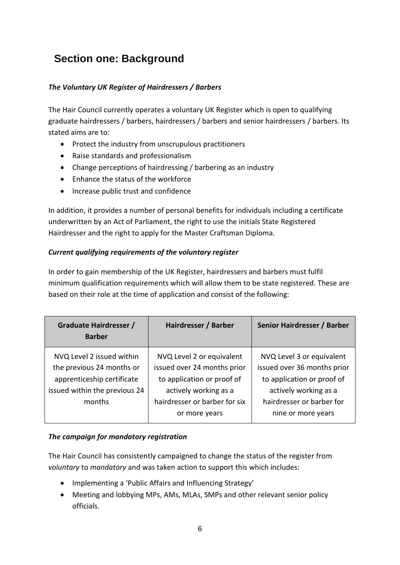# **Section one: Background**

## *The Voluntary UK Register of Hairdressers / Barbers*

The Hair Council currently operates a voluntary UK Register which is open to qualifying graduate hairdressers / barbers, hairdressers / barbers and senior hairdressers / barbers. Its stated aims are to:

- Protect the industry from unscrupulous practitioners
- Raise standards and professionalism
- Change perceptions of hairdressing / barbering as an industry
- Enhance the status of the workforce
- Increase public trust and confidence

In addition, it provides a number of personal benefits for individuals including a certificate underwritten by an Act of Parliament, the right to use the initials State Registered Hairdresser and the right to apply for the Master Craftsman Diploma.

#### *Current qualifying requirements of the voluntary register*

In order to gain membership of the UK Register, hairdressers and barbers must fulfil minimum qualification requirements which will allow them to be state registered. These are based on their role at the time of application and consist of the following:

| <b>Graduate Hairdresser /</b><br><b>Barber</b>                                                                                  | Hairdresser / Barber                                                                                                                             | Senior Hairdresser / Barber                                                                                                                  |
|---------------------------------------------------------------------------------------------------------------------------------|--------------------------------------------------------------------------------------------------------------------------------------------------|----------------------------------------------------------------------------------------------------------------------------------------------|
| NVQ Level 2 issued within<br>the previous 24 months or<br>apprenticeship certificate<br>issued within the previous 24<br>months | NVQ Level 2 or equivalent<br>issued over 24 months prior<br>to application or proof of<br>actively working as a<br>hairdresser or barber for six | NVQ Level 3 or equivalent<br>issued over 36 months prior<br>to application or proof of<br>actively working as a<br>hairdresser or barber for |
|                                                                                                                                 | or more years                                                                                                                                    | nine or more years                                                                                                                           |

## *The campaign for mandatory registration*

The Hair Council has consistently campaigned to change the status of the register from *voluntary* to *mandatory* and was taken action to support this which includes:

- Implementing a 'Public Affairs and Influencing Strategy'
- Meeting and lobbying MPs, AMs, MLAs, SMPs and other relevant senior policy officials.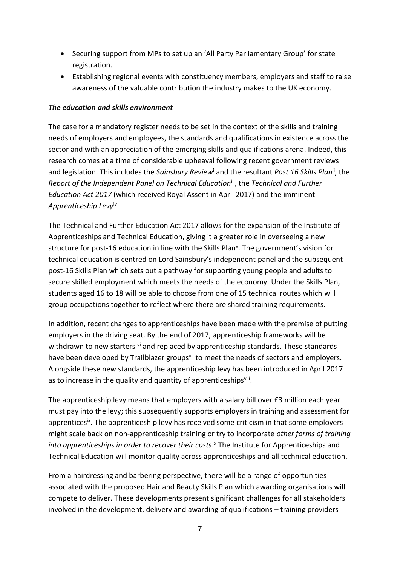- Securing support from MPs to set up an 'All Party Parliamentary Group' for state registration.
- Establishing regional events with constituency members, employers and staff to raise awareness of the valuable contribution the industry makes to the UK economy.

#### *The education and skills environment*

The case for a mandatory register needs to be set in the context of the skills and training needs of employers and employees, the standards and qualifications in existence across the sector and with an appreciation of the emerging skills and qualifications arena. Indeed, this research comes at a time of considerable upheaval following recent government reviews and legislation. This includes the *Sainsbury Review*<sup>i</sup> and the resultant *Post 16 Skills Plan*ii, the *Report of the Independent Panel on Technical Education*iii, the *Technical and Further Education Act 2017* (which received Royal Assent in April 2017) and the imminent *Apprenticeship Levy*iv .

The Technical and Further Education Act 2017 allows for the expansion of the Institute of Apprenticeships and Technical Education, giving it a greater role in overseeing a new structure for post-16 education in line with the Skills Plan<sup>v</sup>. The government's vision for technical education is centred on Lord Sainsbury's independent panel and the subsequent post-16 Skills Plan which sets out a pathway for supporting young people and adults to secure skilled employment which meets the needs of the economy. Under the Skills Plan, students aged 16 to 18 will be able to choose from one of 15 technical routes which will group occupations together to reflect where there are shared training requirements.

In addition, recent changes to apprenticeships have been made with the premise of putting employers in the driving seat. By the end of 2017, apprenticeship frameworks will be withdrawn to new starters vi and replaced by apprenticeship standards. These standards have been developed by Trailblazer groups<sup>vii</sup> to meet the needs of sectors and employers. Alongside these new standards, the apprenticeship levy has been introduced in April 2017 as to increase in the quality and quantity of apprenticeshipsviii.

The apprenticeship levy means that employers with a salary bill over £3 million each year must pay into the levy; this subsequently supports employers in training and assessment for apprentices<sup>ix</sup>. The apprenticeship levy has received some criticism in that some employers might scale back on non-apprenticeship training or try to incorporate *other forms of training into apprenticeships in order to recover their costs*. <sup>x</sup> The Institute for Apprenticeships and Technical Education will monitor quality across apprenticeships and all technical education.

From a hairdressing and barbering perspective, there will be a range of opportunities associated with the proposed Hair and Beauty Skills Plan which awarding organisations will compete to deliver. These developments present significant challenges for all stakeholders involved in the development, delivery and awarding of qualifications – training providers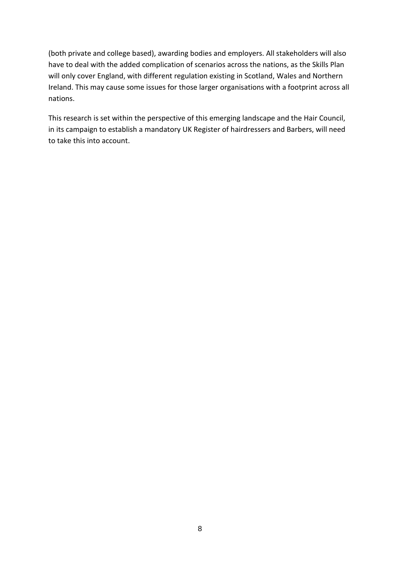(both private and college based), awarding bodies and employers. All stakeholders will also have to deal with the added complication of scenarios across the nations, as the Skills Plan will only cover England, with different regulation existing in Scotland, Wales and Northern Ireland. This may cause some issues for those larger organisations with a footprint across all nations.

This research is set within the perspective of this emerging landscape and the Hair Council, in its campaign to establish a mandatory UK Register of hairdressers and Barbers, will need to take this into account.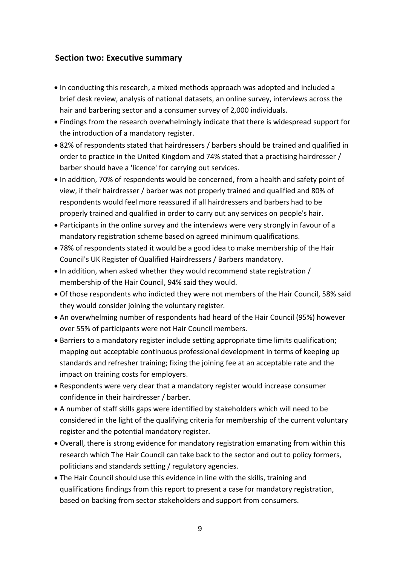# **Section two: Executive summary**

- In conducting this research, a mixed methods approach was adopted and included a brief desk review, analysis of national datasets, an online survey, interviews across the hair and barbering sector and a consumer survey of 2,000 individuals.
- Findings from the research overwhelmingly indicate that there is widespread support for the introduction of a mandatory register.
- 82% of respondents stated that hairdressers / barbers should be trained and qualified in order to practice in the United Kingdom and 74% stated that a practising hairdresser / barber should have a 'licence' for carrying out services.
- In addition, 70% of respondents would be concerned, from a health and safety point of view, if their hairdresser / barber was not properly trained and qualified and 80% of respondents would feel more reassured if all hairdressers and barbers had to be properly trained and qualified in order to carry out any services on people's hair.
- Participants in the online survey and the interviews were very strongly in favour of a mandatory registration scheme based on agreed minimum qualifications.
- 78% of respondents stated it would be a good idea to make membership of the Hair Council's UK Register of Qualified Hairdressers / Barbers mandatory.
- In addition, when asked whether they would recommend state registration / membership of the Hair Council, 94% said they would.
- Of those respondents who indicted they were not members of the Hair Council, 58% said they would consider joining the voluntary register.
- An overwhelming number of respondents had heard of the Hair Council (95%) however over 55% of participants were not Hair Council members.
- Barriers to a mandatory register include setting appropriate time limits qualification; mapping out acceptable continuous professional development in terms of keeping up standards and refresher training; fixing the joining fee at an acceptable rate and the impact on training costs for employers.
- Respondents were very clear that a mandatory register would increase consumer confidence in their hairdresser / barber.
- A number of staff skills gaps were identified by stakeholders which will need to be considered in the light of the qualifying criteria for membership of the current voluntary register and the potential mandatory register.
- Overall, there is strong evidence for mandatory registration emanating from within this research which The Hair Council can take back to the sector and out to policy formers, politicians and standards setting / regulatory agencies.
- The Hair Council should use this evidence in line with the skills, training and qualifications findings from this report to present a case for mandatory registration, based on backing from sector stakeholders and support from consumers.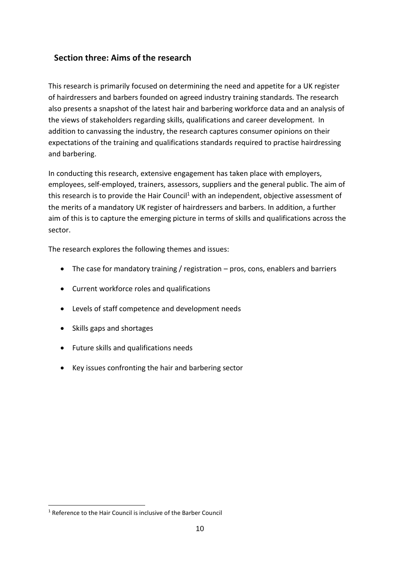# **Section three: Aims of the research**

This research is primarily focused on determining the need and appetite for a UK register of hairdressers and barbers founded on agreed industry training standards. The research also presents a snapshot of the latest hair and barbering workforce data and an analysis of the views of stakeholders regarding skills, qualifications and career development. In addition to canvassing the industry, the research captures consumer opinions on their expectations of the training and qualifications standards required to practise hairdressing and barbering.

In conducting this research, extensive engagement has taken place with employers, employees, self-employed, trainers, assessors, suppliers and the general public. The aim of this research is to provide the Hair Council<sup>1</sup> with an independent, objective assessment of the merits of a mandatory UK register of hairdressers and barbers. In addition, a further aim of this is to capture the emerging picture in terms of skills and qualifications across the sector.

The research explores the following themes and issues:

- The case for mandatory training / registration pros, cons, enablers and barriers
- Current workforce roles and qualifications
- Levels of staff competence and development needs
- Skills gaps and shortages
- Future skills and qualifications needs
- Key issues confronting the hair and barbering sector

<sup>&</sup>lt;sup>1</sup> Reference to the Hair Council is inclusive of the Barber Council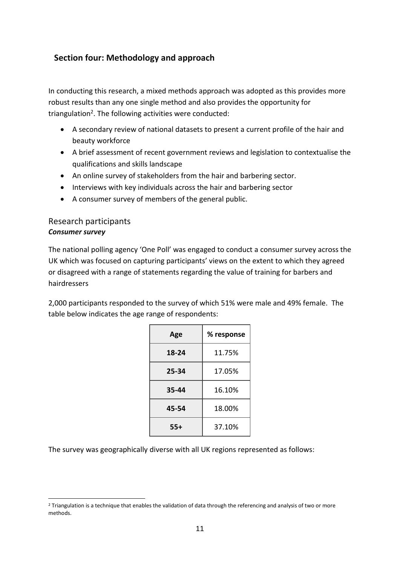# **Section four: Methodology and approach**

In conducting this research, a mixed methods approach was adopted as this provides more robust results than any one single method and also provides the opportunity for triangulation<sup>2</sup>. The following activities were conducted:

- A secondary review of national datasets to present a current profile of the hair and beauty workforce
- A brief assessment of recent government reviews and legislation to contextualise the qualifications and skills landscape
- An online survey of stakeholders from the hair and barbering sector.
- Interviews with key individuals across the hair and barbering sector
- A consumer survey of members of the general public.

## Research participants *Consumer survey*

-

The national polling agency 'One Poll' was engaged to conduct a consumer survey across the UK which was focused on capturing participants' views on the extent to which they agreed or disagreed with a range of statements regarding the value of training for barbers and hairdressers

2,000 participants responded to the survey of which 51% were male and 49% female. The table below indicates the age range of respondents:

| Age   | % response |
|-------|------------|
| 18-24 | 11.75%     |
| 25-34 | 17.05%     |
| 35-44 | 16.10%     |
| 45-54 | 18.00%     |
| $55+$ | 37.10%     |

The survey was geographically diverse with all UK regions represented as follows:

<sup>&</sup>lt;sup>2</sup> Triangulation is a technique that enables the validation of data through the referencing and analysis of two or more methods.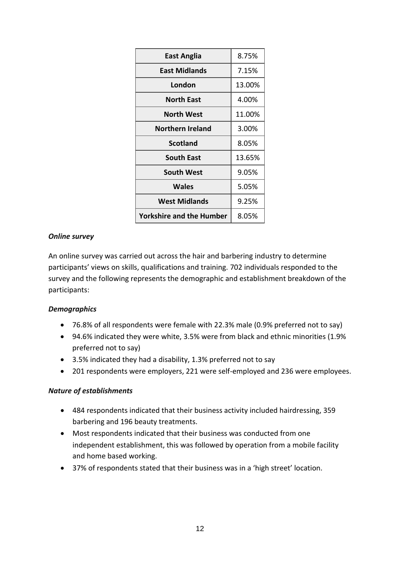| East Anglia                     | 8.75%  |
|---------------------------------|--------|
| <b>East Midlands</b>            | 7.15%  |
| London                          | 13.00% |
| <b>North East</b>               | 4.00%  |
| <b>North West</b>               | 11.00% |
| <b>Northern Ireland</b>         | 3.00%  |
| <b>Scotland</b>                 | 8.05%  |
| <b>South East</b>               | 13.65% |
| <b>South West</b>               | 9.05%  |
| Wales                           | 5.05%  |
| <b>West Midlands</b>            | 9.25%  |
| <b>Yorkshire and the Humber</b> | 8.05%  |

#### *Online survey*

An online survey was carried out across the hair and barbering industry to determine participants' views on skills, qualifications and training. 702 individuals responded to the survey and the following represents the demographic and establishment breakdown of the participants:

#### *Demographics*

- 76.8% of all respondents were female with 22.3% male (0.9% preferred not to say)
- 94.6% indicated they were white, 3.5% were from black and ethnic minorities (1.9% preferred not to say)
- 3.5% indicated they had a disability, 1.3% preferred not to say
- 201 respondents were employers, 221 were self-employed and 236 were employees.

#### *Nature of establishments*

- 484 respondents indicated that their business activity included hairdressing, 359 barbering and 196 beauty treatments.
- Most respondents indicated that their business was conducted from one independent establishment, this was followed by operation from a mobile facility and home based working.
- 37% of respondents stated that their business was in a 'high street' location.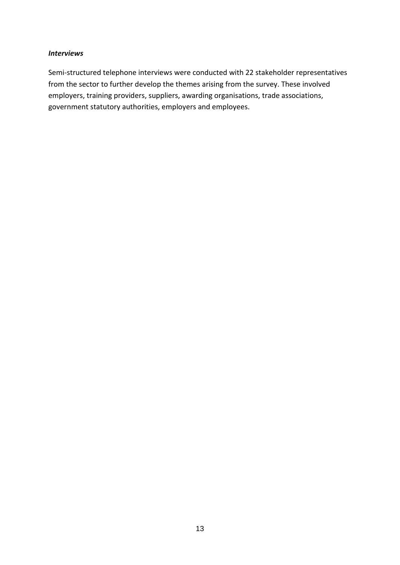#### *Interviews*

Semi-structured telephone interviews were conducted with 22 stakeholder representatives from the sector to further develop the themes arising from the survey. These involved employers, training providers, suppliers, awarding organisations, trade associations, government statutory authorities, employers and employees.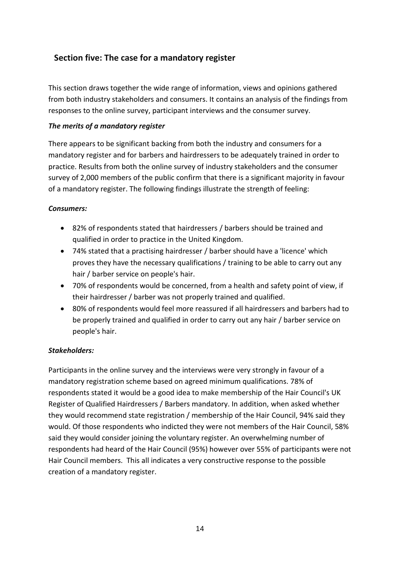# **Section five: The case for a mandatory register**

This section draws together the wide range of information, views and opinions gathered from both industry stakeholders and consumers. It contains an analysis of the findings from responses to the online survey, participant interviews and the consumer survey.

#### *The merits of a mandatory register*

There appears to be significant backing from both the industry and consumers for a mandatory register and for barbers and hairdressers to be adequately trained in order to practice. Results from both the online survey of industry stakeholders and the consumer survey of 2,000 members of the public confirm that there is a significant majority in favour of a mandatory register. The following findings illustrate the strength of feeling:

#### *Consumers:*

- 82% of respondents stated that hairdressers / barbers should be trained and qualified in order to practice in the United Kingdom.
- 74% stated that a practising hairdresser / barber should have a 'licence' which proves they have the necessary qualifications / training to be able to carry out any hair / barber service on people's hair.
- 70% of respondents would be concerned, from a health and safety point of view, if their hairdresser / barber was not properly trained and qualified.
- 80% of respondents would feel more reassured if all hairdressers and barbers had to be properly trained and qualified in order to carry out any hair / barber service on people's hair.

## *Stakeholders:*

Participants in the online survey and the interviews were very strongly in favour of a mandatory registration scheme based on agreed minimum qualifications. 78% of respondents stated it would be a good idea to make membership of the Hair Council's UK Register of Qualified Hairdressers / Barbers mandatory. In addition, when asked whether they would recommend state registration / membership of the Hair Council, 94% said they would. Of those respondents who indicted they were not members of the Hair Council, 58% said they would consider joining the voluntary register. An overwhelming number of respondents had heard of the Hair Council (95%) however over 55% of participants were not Hair Council members. This all indicates a very constructive response to the possible creation of a mandatory register.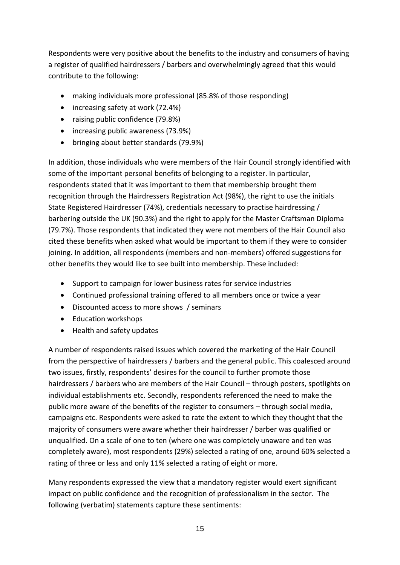Respondents were very positive about the benefits to the industry and consumers of having a register of qualified hairdressers / barbers and overwhelmingly agreed that this would contribute to the following:

- making individuals more professional (85.8% of those responding)
- increasing safety at work (72.4%)
- raising public confidence (79.8%)
- increasing public awareness (73.9%)
- bringing about better standards (79.9%)

In addition, those individuals who were members of the Hair Council strongly identified with some of the important personal benefits of belonging to a register. In particular, respondents stated that it was important to them that membership brought them recognition through the Hairdressers Registration Act (98%), the right to use the initials State Registered Hairdresser (74%), credentials necessary to practise hairdressing / barbering outside the UK (90.3%) and the right to apply for the Master Craftsman Diploma (79.7%). Those respondents that indicated they were not members of the Hair Council also cited these benefits when asked what would be important to them if they were to consider joining. In addition, all respondents (members and non-members) offered suggestions for other benefits they would like to see built into membership. These included:

- Support to campaign for lower business rates for service industries
- Continued professional training offered to all members once or twice a year
- Discounted access to more shows / seminars
- Education workshops
- Health and safety updates

A number of respondents raised issues which covered the marketing of the Hair Council from the perspective of hairdressers / barbers and the general public. This coalesced around two issues, firstly, respondents' desires for the council to further promote those hairdressers / barbers who are members of the Hair Council – through posters, spotlights on individual establishments etc. Secondly, respondents referenced the need to make the public more aware of the benefits of the register to consumers – through social media, campaigns etc. Respondents were asked to rate the extent to which they thought that the majority of consumers were aware whether their hairdresser / barber was qualified or unqualified. On a scale of one to ten (where one was completely unaware and ten was completely aware), most respondents (29%) selected a rating of one, around 60% selected a rating of three or less and only 11% selected a rating of eight or more.

Many respondents expressed the view that a mandatory register would exert significant impact on public confidence and the recognition of professionalism in the sector. The following (verbatim) statements capture these sentiments: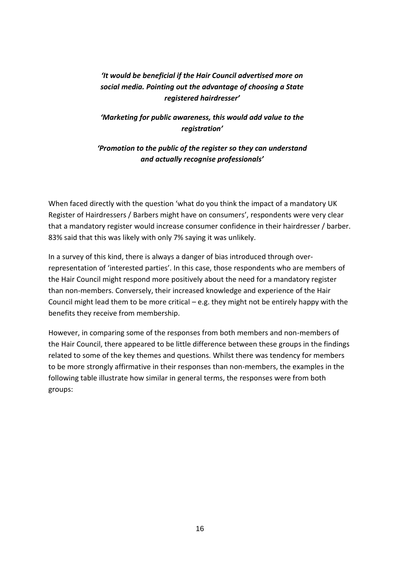# *'It would be beneficial if the Hair Council advertised more on social media. Pointing out the advantage of choosing a State registered hairdresser'*

## *'Marketing for public awareness, this would add value to the registration'*

# *'Promotion to the public of the register so they can understand and actually recognise professionals'*

When faced directly with the question 'what do you think the impact of a mandatory UK Register of Hairdressers / Barbers might have on consumers', respondents were very clear that a mandatory register would increase consumer confidence in their hairdresser / barber. 83% said that this was likely with only 7% saying it was unlikely.

In a survey of this kind, there is always a danger of bias introduced through overrepresentation of 'interested parties'. In this case, those respondents who are members of the Hair Council might respond more positively about the need for a mandatory register than non-members. Conversely, their increased knowledge and experience of the Hair Council might lead them to be more critical – e.g. they might not be entirely happy with the benefits they receive from membership.

However, in comparing some of the responses from both members and non-members of the Hair Council, there appeared to be little difference between these groups in the findings related to some of the key themes and questions. Whilst there was tendency for members to be more strongly affirmative in their responses than non-members, the examples in the following table illustrate how similar in general terms, the responses were from both groups: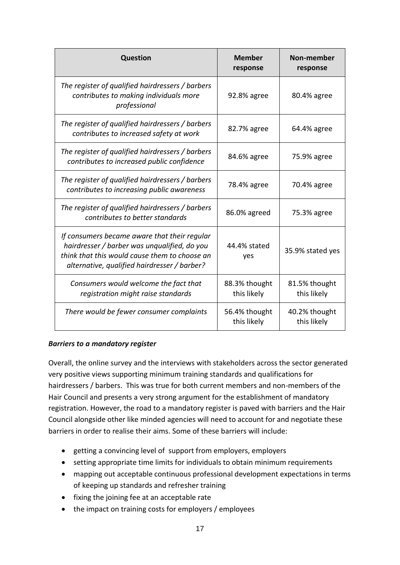| Question                                                                                                                                                                                      | <b>Member</b><br>response    | Non-member<br>response       |
|-----------------------------------------------------------------------------------------------------------------------------------------------------------------------------------------------|------------------------------|------------------------------|
| The register of qualified hairdressers / barbers<br>contributes to making individuals more<br>professional                                                                                    | 92.8% agree                  | 80.4% agree                  |
| The register of qualified hairdressers / barbers<br>contributes to increased safety at work                                                                                                   | 82.7% agree                  | 64.4% agree                  |
| The register of qualified hairdressers / barbers<br>contributes to increased public confidence                                                                                                | 84.6% agree                  | 75.9% agree                  |
| The register of qualified hairdressers / barbers<br>contributes to increasing public awareness                                                                                                | 78.4% agree                  | 70.4% agree                  |
| The register of qualified hairdressers / barbers<br>contributes to better standards                                                                                                           | 86.0% agreed                 | 75.3% agree                  |
| If consumers became aware that their regular<br>hairdresser / barber was unqualified, do you<br>think that this would cause them to choose an<br>alternative, qualified hairdresser / barber? | 44.4% stated<br>yes          | 35.9% stated yes             |
| Consumers would welcome the fact that<br>registration might raise standards                                                                                                                   | 88.3% thought<br>this likely | 81.5% thought<br>this likely |
| There would be fewer consumer complaints                                                                                                                                                      | 56.4% thought<br>this likely | 40.2% thought<br>this likely |

#### *Barriers to a mandatory register*

Overall, the online survey and the interviews with stakeholders across the sector generated very positive views supporting minimum training standards and qualifications for hairdressers / barbers. This was true for both current members and non-members of the Hair Council and presents a very strong argument for the establishment of mandatory registration. However, the road to a mandatory register is paved with barriers and the Hair Council alongside other like minded agencies will need to account for and negotiate these barriers in order to realise their aims. Some of these barriers will include:

- getting a convincing level of support from employers, employers
- setting appropriate time limits for individuals to obtain minimum requirements
- mapping out acceptable continuous professional development expectations in terms of keeping up standards and refresher training
- fixing the joining fee at an acceptable rate
- the impact on training costs for employers / employees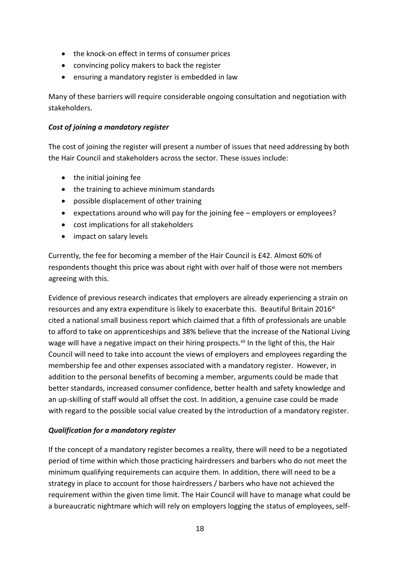- the knock-on effect in terms of consumer prices
- convincing policy makers to back the register
- ensuring a mandatory register is embedded in law

Many of these barriers will require considerable ongoing consultation and negotiation with stakeholders.

#### *Cost of joining a mandatory register*

The cost of joining the register will present a number of issues that need addressing by both the Hair Council and stakeholders across the sector. These issues include:

- the initial joining fee
- the training to achieve minimum standards
- possible displacement of other training
- expectations around who will pay for the joining fee employers or employees?
- cost implications for all stakeholders
- impact on salary levels

Currently, the fee for becoming a member of the Hair Council is £42. Almost 60% of respondents thought this price was about right with over half of those were not members agreeing with this.

Evidence of previous research indicates that employers are already experiencing a strain on resources and any extra expenditure is likely to exacerbate this. Beautiful Britain 2016<sup>xi</sup> cited a national small business report which claimed that a fifth of professionals are unable to afford to take on apprenticeships and 38% believe that the increase of the National Living wage will have a negative impact on their hiring prospects.<sup>xii</sup> In the light of this, the Hair Council will need to take into account the views of employers and employees regarding the membership fee and other expenses associated with a mandatory register. However, in addition to the personal benefits of becoming a member, arguments could be made that better standards, increased consumer confidence, better health and safety knowledge and an up-skilling of staff would all offset the cost. In addition, a genuine case could be made with regard to the possible social value created by the introduction of a mandatory register.

#### *Qualification for a mandatory register*

If the concept of a mandatory register becomes a reality, there will need to be a negotiated period of time within which those practicing hairdressers and barbers who do not meet the minimum qualifying requirements can acquire them. In addition, there will need to be a strategy in place to account for those hairdressers / barbers who have not achieved the requirement within the given time limit. The Hair Council will have to manage what could be a bureaucratic nightmare which will rely on employers logging the status of employees, self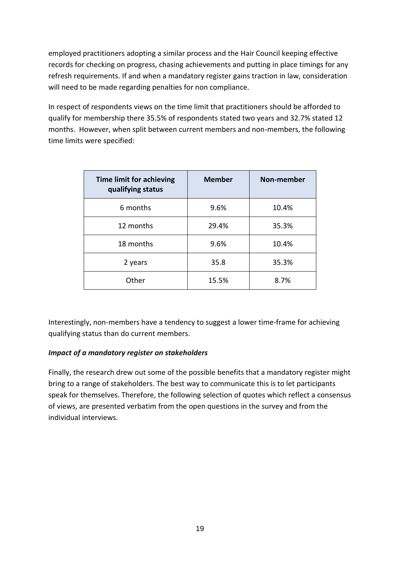employed practitioners adopting a similar process and the Hair Council keeping effective records for checking on progress, chasing achievements and putting in place timings for any refresh requirements. If and when a mandatory register gains traction in law, consideration will need to be made regarding penalties for non compliance.

In respect of respondents views on the time limit that practitioners should be afforded to qualify for membership there 35.5% of respondents stated two years and 32.7% stated 12 months. However, when split between current members and non-members, the following time limits were specified:

| Time limit for achieving<br>qualifying status | <b>Member</b> | Non-member |
|-----------------------------------------------|---------------|------------|
| 6 months                                      | 9.6%          | 10.4%      |
| 12 months                                     | 29.4%         | 35.3%      |
| 18 months                                     | 9.6%          | 10.4%      |
| 2 years                                       | 35.8          | 35.3%      |
| Other                                         | 15.5%         | 8.7%       |

Interestingly, non-members have a tendency to suggest a lower time-frame for achieving qualifying status than do current members.

#### *Impact of a mandatory register on stakeholders*

Finally, the research drew out some of the possible benefits that a mandatory register might bring to a range of stakeholders. The best way to communicate this is to let participants speak for themselves. Therefore, the following selection of quotes which reflect a consensus of views, are presented verbatim from the open questions in the survey and from the individual interviews.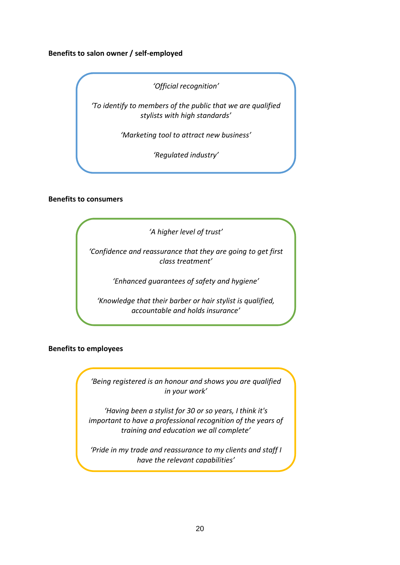#### **Benefits to salon owner / self-employed**

*'Official recognition'*

*'To identify to members of the public that we are qualified stylists with high standards'*

*'Marketing tool to attract new business'*

*'Regulated industry'*

#### **Benefits to consumers**

*'A higher level of trust'*

*'Confidence and reassurance that they are going to get first class treatment'*

*'Enhanced guarantees of safety and hygiene'*

*'Knowledge that their barber or hair stylist is qualified, accountable and holds insurance'*

#### **Benefits to employees**

*'Being registered is an honour and shows you are qualified in your work'*

*'Having been a stylist for 30 or so years, I think it's important to have a professional recognition of the years of training and education we all complete'*

*'Pride in my trade and reassurance to my clients and staff I have the relevant capabilities'*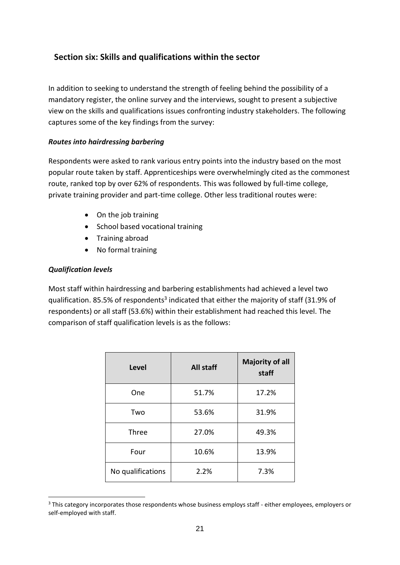# **Section six: Skills and qualifications within the sector**

In addition to seeking to understand the strength of feeling behind the possibility of a mandatory register, the online survey and the interviews, sought to present a subjective view on the skills and qualifications issues confronting industry stakeholders. The following captures some of the key findings from the survey:

#### *Routes into hairdressing barbering*

Respondents were asked to rank various entry points into the industry based on the most popular route taken by staff. Apprenticeships were overwhelmingly cited as the commonest route, ranked top by over 62% of respondents. This was followed by full-time college, private training provider and part-time college. Other less traditional routes were:

- On the job training
- School based vocational training
- Training abroad
- No formal training

#### *Qualification levels*

Most staff within hairdressing and barbering establishments had achieved a level two qualification. 85.5% of respondents<sup>3</sup> indicated that either the majority of staff (31.9% of respondents) or all staff (53.6%) within their establishment had reached this level. The comparison of staff qualification levels is as the follows:

| <b>Level</b>      | <b>All staff</b> | <b>Majority of all</b><br>staff |
|-------------------|------------------|---------------------------------|
| One               | 51.7%            | 17.2%                           |
| Two               | 53.6%            | 31.9%                           |
| Three             | 27.0%            | 49.3%                           |
| Four              | 10.6%            | 13.9%                           |
| No qualifications | 2.2%             | 7.3%                            |

<sup>&</sup>lt;sup>3</sup> This category incorporates those respondents whose business employs staff - either employees, employers or self-employed with staff.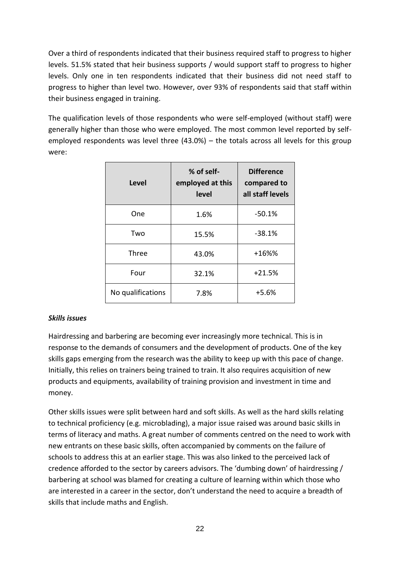Over a third of respondents indicated that their business required staff to progress to higher levels. 51.5% stated that heir business supports / would support staff to progress to higher levels. Only one in ten respondents indicated that their business did not need staff to progress to higher than level two. However, over 93% of respondents said that staff within their business engaged in training.

The qualification levels of those respondents who were self-employed (without staff) were generally higher than those who were employed. The most common level reported by selfemployed respondents was level three (43.0%) – the totals across all levels for this group were:

| <b>Level</b>      | % of self-<br>employed at this<br>level | <b>Difference</b><br>compared to<br>all staff levels |
|-------------------|-----------------------------------------|------------------------------------------------------|
| One               | 1.6%                                    | $-50.1%$                                             |
| Two               | 15.5%                                   | $-38.1%$                                             |
| Three             | 43.0%                                   | +16%%                                                |
| Four              | 32.1%                                   | $+21.5%$                                             |
| No qualifications | 7.8%                                    | $+5.6%$                                              |

#### *Skills issues*

Hairdressing and barbering are becoming ever increasingly more technical. This is in response to the demands of consumers and the development of products. One of the key skills gaps emerging from the research was the ability to keep up with this pace of change. Initially, this relies on trainers being trained to train. It also requires acquisition of new products and equipments, availability of training provision and investment in time and money.

Other skills issues were split between hard and soft skills. As well as the hard skills relating to technical proficiency (e.g. microblading), a major issue raised was around basic skills in terms of literacy and maths. A great number of comments centred on the need to work with new entrants on these basic skills, often accompanied by comments on the failure of schools to address this at an earlier stage. This was also linked to the perceived lack of credence afforded to the sector by careers advisors. The 'dumbing down' of hairdressing / barbering at school was blamed for creating a culture of learning within which those who are interested in a career in the sector, don't understand the need to acquire a breadth of skills that include maths and English.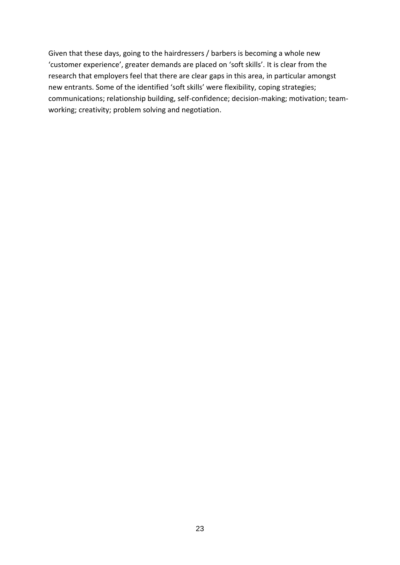Given that these days, going to the hairdressers / barbers is becoming a whole new 'customer experience', greater demands are placed on 'soft skills'. It is clear from the research that employers feel that there are clear gaps in this area, in particular amongst new entrants. Some of the identified 'soft skills' were flexibility, coping strategies; communications; relationship building, self-confidence; decision-making; motivation; teamworking; creativity; problem solving and negotiation.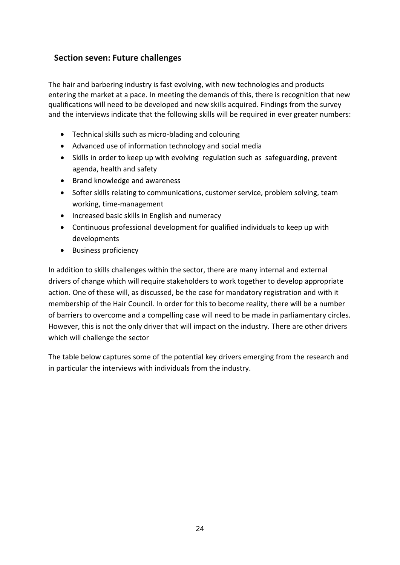# **Section seven: Future challenges**

The hair and barbering industry is fast evolving, with new technologies and products entering the market at a pace. In meeting the demands of this, there is recognition that new qualifications will need to be developed and new skills acquired. Findings from the survey and the interviews indicate that the following skills will be required in ever greater numbers:

- Technical skills such as micro-blading and colouring
- Advanced use of information technology and social media
- Skills in order to keep up with evolving regulation such as safeguarding, prevent agenda, health and safety
- Brand knowledge and awareness
- Softer skills relating to communications, customer service, problem solving, team working, time-management
- Increased basic skills in English and numeracy
- Continuous professional development for qualified individuals to keep up with developments
- Business proficiency

In addition to skills challenges within the sector, there are many internal and external drivers of change which will require stakeholders to work together to develop appropriate action. One of these will, as discussed, be the case for mandatory registration and with it membership of the Hair Council. In order for this to become reality, there will be a number of barriers to overcome and a compelling case will need to be made in parliamentary circles. However, this is not the only driver that will impact on the industry. There are other drivers which will challenge the sector

The table below captures some of the potential key drivers emerging from the research and in particular the interviews with individuals from the industry.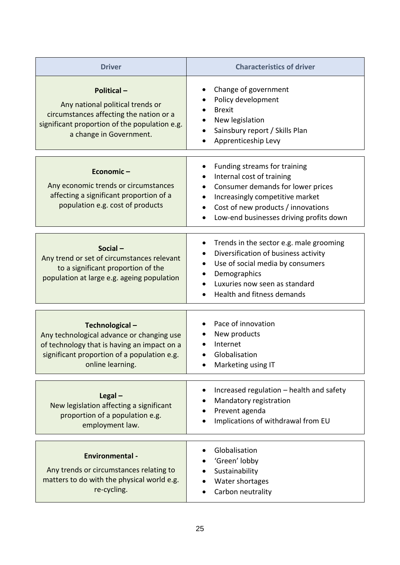| <b>Driver</b>                                                                                                                                                                 | <b>Characteristics of driver</b>                                                                                                                                                                                        |  |
|-------------------------------------------------------------------------------------------------------------------------------------------------------------------------------|-------------------------------------------------------------------------------------------------------------------------------------------------------------------------------------------------------------------------|--|
| Political-<br>Any national political trends or<br>circumstances affecting the nation or a<br>significant proportion of the population e.g.<br>a change in Government.         | Change of government<br>Policy development<br><b>Brexit</b><br>New legislation<br>Sainsbury report / Skills Plan<br>Apprenticeship Levy                                                                                 |  |
| Economic-<br>Any economic trends or circumstances<br>affecting a significant proportion of a<br>population e.g. cost of products                                              | Funding streams for training<br>٠<br>Internal cost of training<br>Consumer demands for lower prices<br>Increasingly competitive market<br>Cost of new products / innovations<br>Low-end businesses driving profits down |  |
| Social-<br>Any trend or set of circumstances relevant<br>to a significant proportion of the<br>population at large e.g. ageing population                                     | Trends in the sector e.g. male grooming<br>$\bullet$<br>Diversification of business activity<br>Use of social media by consumers<br>Demographics<br>Luxuries now seen as standard<br>Health and fitness demands         |  |
| Technological-<br>Any technological advance or changing use<br>of technology that is having an impact on a<br>significant proportion of a population e.g.<br>online learning. | Pace of innovation<br>New products<br>Internet<br>Globalisation<br>Marketing using IT                                                                                                                                   |  |
| Legal $-$<br>New legislation affecting a significant<br>proportion of a population e.g.<br>employment law.                                                                    | Increased regulation - health and safety<br>Mandatory registration<br>Prevent agenda<br>Implications of withdrawal from EU                                                                                              |  |
| <b>Environmental -</b><br>Any trends or circumstances relating to<br>matters to do with the physical world e.g.<br>re-cycling.                                                | Globalisation<br>'Green' lobby<br>Sustainability<br>Water shortages<br>Carbon neutrality                                                                                                                                |  |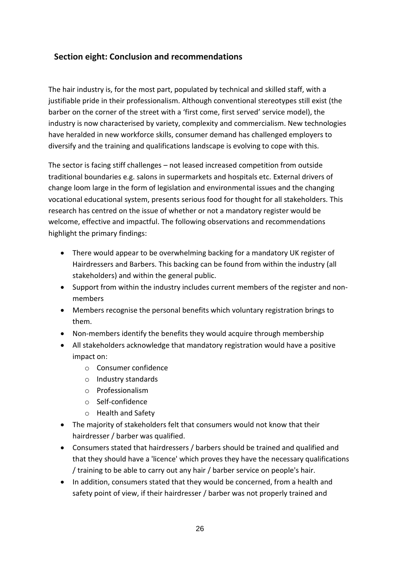# **Section eight: Conclusion and recommendations**

The hair industry is, for the most part, populated by technical and skilled staff, with a justifiable pride in their professionalism. Although conventional stereotypes still exist (the barber on the corner of the street with a 'first come, first served' service model), the industry is now characterised by variety, complexity and commercialism. New technologies have heralded in new workforce skills, consumer demand has challenged employers to diversify and the training and qualifications landscape is evolving to cope with this.

The sector is facing stiff challenges – not leased increased competition from outside traditional boundaries e.g. salons in supermarkets and hospitals etc. External drivers of change loom large in the form of legislation and environmental issues and the changing vocational educational system, presents serious food for thought for all stakeholders. This research has centred on the issue of whether or not a mandatory register would be welcome, effective and impactful. The following observations and recommendations highlight the primary findings:

- There would appear to be overwhelming backing for a mandatory UK register of Hairdressers and Barbers. This backing can be found from within the industry (all stakeholders) and within the general public.
- Support from within the industry includes current members of the register and nonmembers
- Members recognise the personal benefits which voluntary registration brings to them.
- Non-members identify the benefits they would acquire through membership
- All stakeholders acknowledge that mandatory registration would have a positive impact on:
	- o Consumer confidence
	- o Industry standards
	- o Professionalism
	- o Self-confidence
	- o Health and Safety
- The majority of stakeholders felt that consumers would not know that their hairdresser / barber was qualified.
- Consumers stated that hairdressers / barbers should be trained and qualified and that they should have a 'licence' which proves they have the necessary qualifications / training to be able to carry out any hair / barber service on people's hair.
- In addition, consumers stated that they would be concerned, from a health and safety point of view, if their hairdresser / barber was not properly trained and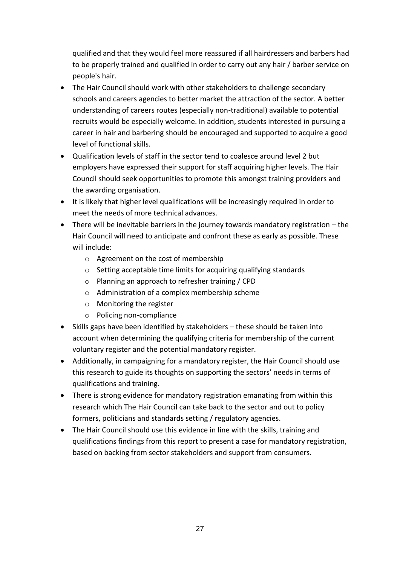qualified and that they would feel more reassured if all hairdressers and barbers had to be properly trained and qualified in order to carry out any hair / barber service on people's hair.

- The Hair Council should work with other stakeholders to challenge secondary schools and careers agencies to better market the attraction of the sector. A better understanding of careers routes (especially non-traditional) available to potential recruits would be especially welcome. In addition, students interested in pursuing a career in hair and barbering should be encouraged and supported to acquire a good level of functional skills.
- Qualification levels of staff in the sector tend to coalesce around level 2 but employers have expressed their support for staff acquiring higher levels. The Hair Council should seek opportunities to promote this amongst training providers and the awarding organisation.
- It is likely that higher level qualifications will be increasingly required in order to meet the needs of more technical advances.
- There will be inevitable barriers in the journey towards mandatory registration the Hair Council will need to anticipate and confront these as early as possible. These will include:
	- o Agreement on the cost of membership
	- o Setting acceptable time limits for acquiring qualifying standards
	- o Planning an approach to refresher training / CPD
	- o Administration of a complex membership scheme
	- o Monitoring the register
	- o Policing non-compliance
- Skills gaps have been identified by stakeholders these should be taken into account when determining the qualifying criteria for membership of the current voluntary register and the potential mandatory register.
- Additionally, in campaigning for a mandatory register, the Hair Council should use this research to guide its thoughts on supporting the sectors' needs in terms of qualifications and training.
- There is strong evidence for mandatory registration emanating from within this research which The Hair Council can take back to the sector and out to policy formers, politicians and standards setting / regulatory agencies.
- The Hair Council should use this evidence in line with the skills, training and qualifications findings from this report to present a case for mandatory registration, based on backing from sector stakeholders and support from consumers.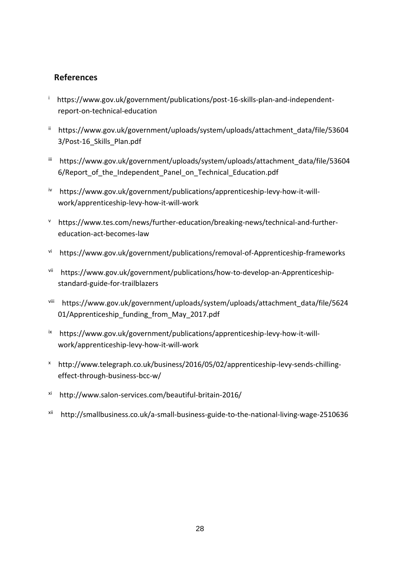### **References**

- i https://www.gov.uk/government/publications/post-16-skills-plan-and-independentreport-on-technical-education
- ii https://www.gov.uk/government/uploads/system/uploads/attachment\_data/file/53604 …..3/Post-16\_Skills\_Plan.pdf
- iii https://www.gov.uk/government/uploads/system/uploads/attachment\_data/file/53604 6/Report of the Independent Panel on Technical Education.pdf
- iv https://www.gov.uk/government/publications/apprenticeship-levy-how-it-will-…..work/apprenticeship-levy-how-it-will-work
- v https://www.tes.com/news/further-education/breaking-news/technical-and-furthereducation-act-becomes-law
- vi https://www.gov.uk/government/publications/removal-of-Apprenticeship-frameworks
- vii https://www.gov.uk/government/publications/how-to-develop-an-Apprenticeshipstandard-guide-for-trailblazers
- viii https://www.gov.uk/government/uploads/system/uploads/attachment data/file/5624 01/Apprenticeship funding from May 2017.pdf
- ix https://www.gov.uk/government/publications/apprenticeship-levy-how-it-willwork/apprenticeship-levy-how-it-will-work
- <sup>x</sup>….http://www.telegraph.co.uk/business/2016/05/02/apprenticeship-levy-sends-chilling effect-through-business-bcc-w/
- xi….http://www.salon-services.com/beautiful-britain-2016/
- xii http://smallbusiness.co.uk/a-small-business-guide-to-the-national-living-wage-2510636